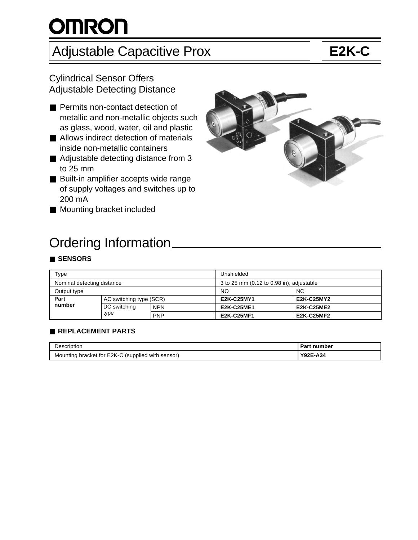# **OMRON**

## Adjustable Capacitive Prox **E2K-C**

### Cylindrical Sensor Offers Adjustable Detecting Distance

- Permits non-contact detection of metallic and non-metallic objects such as glass, wood, water, oil and plastic
- Allows indirect detection of materials inside non-metallic containers
- Adjustable detecting distance from 3 to 25 mm
- Built-in amplifier accepts wide range of supply voltages and switches up to 200 mA
- Mounting bracket included



### Ordering Information

#### ■ **SENSORS**

| Type                       |                         |            | Unshielded                               |                   |  |
|----------------------------|-------------------------|------------|------------------------------------------|-------------------|--|
| Nominal detecting distance |                         |            | 3 to 25 mm (0.12 to 0.98 in), adjustable |                   |  |
| Output type                |                         |            | <b>NO</b>                                | <b>NC</b>         |  |
| Part                       | AC switching type (SCR) |            | E2K-C25MY1                               | <b>E2K-C25MY2</b> |  |
| number                     | DC switching            | <b>NPN</b> | <b>E2K-C25ME1</b>                        | <b>E2K-C25ME2</b> |  |
| type                       |                         | <b>PNP</b> | <b>E2K-C25MF1</b>                        | <b>E2K-C25MF2</b> |  |

#### ■ **REPLACEMENT PARTS**

| Description                                       | <b>Part number</b> |
|---------------------------------------------------|--------------------|
| Mounting bracket for E2K-C (supplied with sensor) | Y92E-A34           |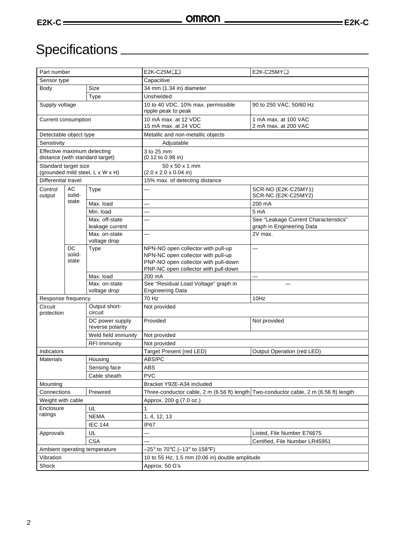## Specifications **CONSERVING SERVICES**

| Part number                                                                                                     |                 |                               | E2K-C25MOO                                                                                                         | E2K-C25MYQ                                   |  |  |
|-----------------------------------------------------------------------------------------------------------------|-----------------|-------------------------------|--------------------------------------------------------------------------------------------------------------------|----------------------------------------------|--|--|
| Sensor type                                                                                                     |                 |                               | Capacitive                                                                                                         |                                              |  |  |
| Body                                                                                                            |                 | <b>Size</b>                   | 34 mm (1.34 in) diameter                                                                                           |                                              |  |  |
|                                                                                                                 |                 | Type                          | Unshielded                                                                                                         |                                              |  |  |
| Supply voltage                                                                                                  |                 |                               | 10 to 40 VDC, 10% max. permissible<br>ripple peak to peak                                                          | 90 to 250 VAC, 50/60 Hz                      |  |  |
| Current consumption                                                                                             |                 |                               | 10 mA max. at 12 VDC<br>15 mA max. at 24 VDC                                                                       | 1 mA max. at 100 VAC<br>2 mA max. at 200 VAC |  |  |
| Detectable object type                                                                                          |                 |                               | Metallic and non-metallic objects                                                                                  |                                              |  |  |
| Sensitivity                                                                                                     |                 |                               | Adjustable                                                                                                         |                                              |  |  |
| Effective maximum detecting<br>distance (with standard target)                                                  |                 |                               | 3 to 25 mm<br>(0.12 to 0.98 in)                                                                                    |                                              |  |  |
| Standard target size<br>(grounded mild steel, L x W x H)                                                        |                 |                               | $50 \times 50 \times 1$ mm<br>$(2.0 \times 2.0 \times 0.04)$ in)                                                   |                                              |  |  |
| <b>Differential travel</b>                                                                                      |                 |                               | 15% max. of detecting distance                                                                                     |                                              |  |  |
| Control<br>output                                                                                               | AC<br>solid-    | Type                          |                                                                                                                    | SCR-NO (E2K-C25MY1)<br>SCR-NC (E2K-C25MY2)   |  |  |
|                                                                                                                 | state           | Max. load                     |                                                                                                                    | 200 mA                                       |  |  |
|                                                                                                                 |                 | Min. load                     |                                                                                                                    | 5 <sub>m</sub> A                             |  |  |
|                                                                                                                 |                 | Max. off-state                |                                                                                                                    | See "Leakage Current Characteristics"        |  |  |
|                                                                                                                 |                 | leakage current               |                                                                                                                    | graph in Engineering Data                    |  |  |
|                                                                                                                 |                 | Max. on-state                 |                                                                                                                    | 2V max.                                      |  |  |
|                                                                                                                 | <b>DC</b>       | voltage drop<br>Type          | NPN-NO open collector with pull-up                                                                                 |                                              |  |  |
|                                                                                                                 | solid-<br>state |                               | NPN-NC open collector with pull-up<br>PNP-NO open collector with pull-down<br>PNP-NC open collector with pull-down |                                              |  |  |
|                                                                                                                 |                 | Max. load                     | 200 mA                                                                                                             | $\equiv$                                     |  |  |
|                                                                                                                 |                 | Max. on-state<br>voltage drop | See "Residual Load Voltage" graph in<br><b>Engineering Data</b>                                                    |                                              |  |  |
| Response frequency                                                                                              |                 |                               | 70 Hz                                                                                                              | 10Hz                                         |  |  |
| Output short-<br>Circuit<br>circuit<br>protection<br>DC power supply<br>reverse polarity<br>Weld field immunity |                 |                               | Not provided                                                                                                       |                                              |  |  |
|                                                                                                                 |                 |                               | Provided                                                                                                           | Not provided                                 |  |  |
|                                                                                                                 |                 |                               | Not provided                                                                                                       |                                              |  |  |
|                                                                                                                 |                 | <b>RFI</b> immunity           | Not provided                                                                                                       |                                              |  |  |
| Indicators                                                                                                      |                 |                               | Target Present (red LED)<br>Output Operation (red LED)                                                             |                                              |  |  |
| <b>Materials</b><br>Housing<br>Sensing face<br>Cable sheath                                                     |                 |                               | ABS/PC                                                                                                             |                                              |  |  |
|                                                                                                                 |                 |                               | <b>ABS</b>                                                                                                         |                                              |  |  |
|                                                                                                                 |                 |                               | <b>PVC</b>                                                                                                         |                                              |  |  |
| Mounting                                                                                                        |                 |                               | Bracket Y92E-A34 included                                                                                          |                                              |  |  |
| Prewired<br>Connections                                                                                         |                 |                               | Three-conductor cable, 2 m (6.56 ft) length Two-conductor cable, 2 m (6.56 ft) length                              |                                              |  |  |
| Weight with cable                                                                                               |                 |                               | Approx. 200 g (7.0 oz.)                                                                                            |                                              |  |  |
| Enclosure<br>ratings                                                                                            |                 | UL                            | 1                                                                                                                  |                                              |  |  |
|                                                                                                                 |                 | <b>NEMA</b>                   | 1, 4, 12, 13                                                                                                       |                                              |  |  |
|                                                                                                                 |                 | <b>IEC 144</b>                | IP67                                                                                                               |                                              |  |  |
| Approvals                                                                                                       |                 | UL                            | Listed, File Number E76675                                                                                         |                                              |  |  |
|                                                                                                                 |                 | <b>CSA</b>                    | Certified, File Number LR45951                                                                                     |                                              |  |  |
| Ambient operating temperature                                                                                   |                 |                               | –25° to 70°C (–13° to 158°F)                                                                                       |                                              |  |  |
| Vibration                                                                                                       |                 |                               | 10 to 55 Hz, 1.5 mm (0.06 in) double amplitude                                                                     |                                              |  |  |
| Shock                                                                                                           |                 |                               | Approx. 50 G's                                                                                                     |                                              |  |  |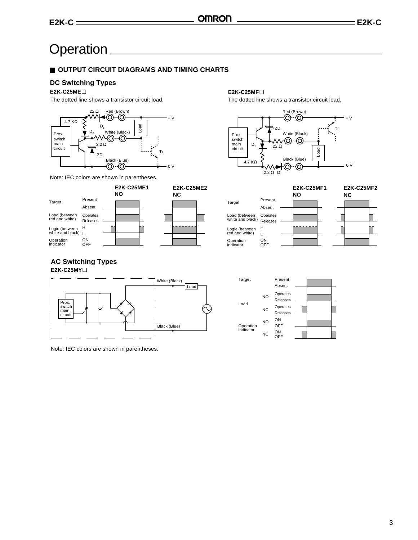### **Operation**

#### ■ **OUTPUT CIRCUIT DIAGRAMS AND TIMING CHARTS**

#### **DC Switching Types**

#### **E2K-C25ME**❑

The dotted line shows a transistor circuit load.



Note: IEC colors are shown in parentheses.

#### **E2K-C25ME1 NO** Present Absent Operates Releases H L ON OFF Target Load (between red and white) Logic (between white and black) Operation indicator **E2K-C25ME2 NC**



The dotted line shows a transistor circuit load.



|                                   |                             | <b>E2K-C25MF1</b><br><b>NO</b> | <b>E2K-C25MF2</b><br>ΝC |
|-----------------------------------|-----------------------------|--------------------------------|-------------------------|
| Target                            | Present                     |                                |                         |
|                                   | Absent                      |                                |                         |
| Load (between<br>white and black) | Operates<br><b>Releases</b> |                                |                         |
| Logic (between<br>red and white)  | н                           |                                |                         |
|                                   |                             |                                |                         |
| Operation<br>indicator            | ON<br>OFF                   |                                |                         |

#### **AC Switching Types**

**E2K-C25MY**❑





Note: IEC colors are shown in parentheses.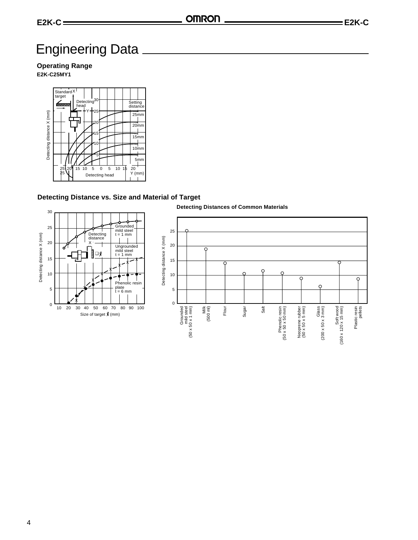### Engineering Data

**Operating Range**

**E2K-C25MY1**



#### **Detecting Distance vs. Size and Material of Target**



4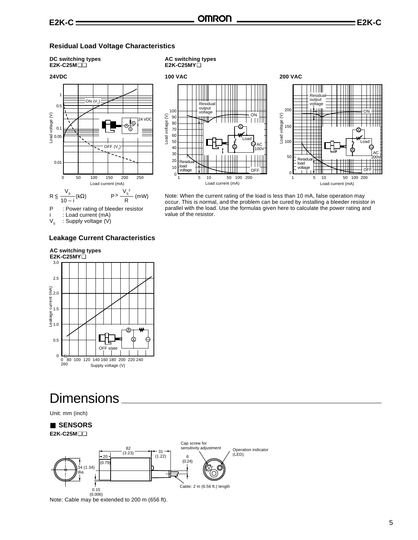**AC switching types E2K-C25MY**❑

#### **Residual Load Voltage Characteristics**

#### **DC switching types E2K-C25M**❑❑

#### **24VDC**



i : Load current (mA)<br> $V_s$  : Supply voltage (V) : Supply voltage (V)

#### **Leakage Current Characteristics**



### **Dimensions**

Unit: mm (inch)



Note: Cable may be extended to 200 m (656 ft).



Note: When the current rating of the load is less than 10 mA, false operation may occur. This is normal, and the problem can be cured by installing a bleeder resistor in parallel with the load. Use the formulas given here to calculate the power rating and value of the resistor.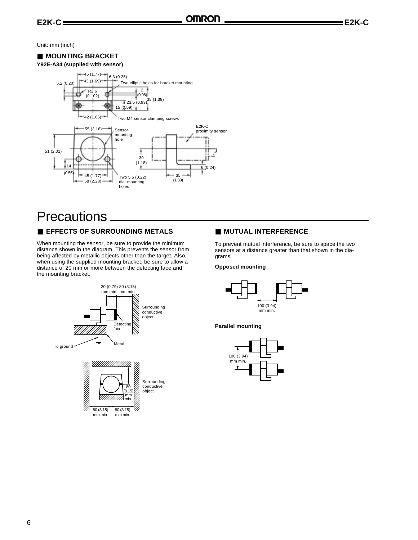Unit: mm (inch)

#### ■ **MOUNTING BRACKET**



### **Precautions**

#### ■ **EFFECTS OF SURROUNDING METALS** ■ **MUTUAL INTERFERENCE**

When mounting the sensor, be sure to provide the minimum distance shown in the diagram. This prevents the sensor from being affected by metallic objects other than the target. Also, when using the supplied mounting bracket, be sure to allow a distance of 20 mm or more between the detecting face and the mounting bracket.



To prevent mutual interference, be sure to space the two sensors at a distance greater than that shown in the diagrams.

#### **Opposed mounting**



#### **Parallel mounting**

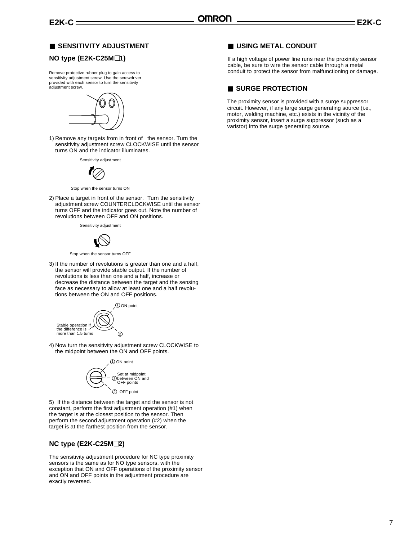#### ■ **SENSITIVITY ADJUSTMENT**

#### **NO type (E2K-C25M**❑**1)**

Remove protective rubber plug to gain access to sensitivity adjustment screw. Use the screwdriver provided with each sensor to turn the sensitivity adjustment screw.



1) Remove any targets from in front of the sensor. Turn the sensitivity adjustment screw CLOCKWISE until the sensor turns ON and the indicator illuminates.

Sensitivity adjustment



Stop when the sensor turns ON

2) Place a target in front of the sensor. Turn the sensitivity adjustment screw COUNTERCLOCKWISE until the sensor turns OFF and the indicator goes out. Note the number of revolutions between OFF and ON positions.

Sensitivity adjustment



Stop when the sensor turns OFF

3) If the number of revolutions is greater than one and a half, the sensor will provide stable output. If the number of revolutions is less than one and a half, increase or decrease the distance between the target and the sensing face as necessary to allow at least one and a half revolutions between the ON and OFF positions.



4) Now turn the sensitivity adjustment screw CLOCKWISE to the midpoint between the ON and OFF points.



5) If the distance between the target and the sensor is not constant, perform the first adjustment operation (#1) when the target is at the closest position to the sensor. Then perform the second adjustment operation (#2) when the target is at the farthest position from the sensor.

#### **NC type (E2K-C25M**❑**2)**

The sensitivity adjustment procedure for NC type proximity sensors is the same as for NO type sensors, with the exception that ON and OFF operations of the proximity sensor and ON and OFF points in the adjustment procedure are exactly reversed.

#### ■ **USING METAL CONDUIT**

If a high voltage of power line runs near the proximity sensor cable, be sure to wire the sensor cable through a metal conduit to protect the sensor from malfunctioning or damage.

#### ■ **SURGE PROTECTION**

The proximity sensor is provided with a surge suppressor circuit. However, if any large surge generating source (i.e., motor, welding machine, etc.) exists in the vicinity of the proximity sensor, insert a surge suppressor (such as a varistor) into the surge generating source.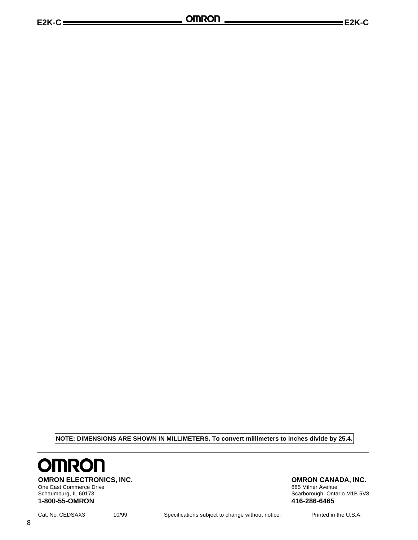**NOTE: DIMENSIONS ARE SHOWN IN MILLIMETERS. To convert millimeters to inches divide by 25.4.**



**OMRON ELECTRONICS, INC.**<br>
One East Commerce Drive<br>
One East Commerce Drive<br>
285 Milner Avenue One East Commerce Drive<br>Schaumburg, IL 60173 **1-800-55-OMRON 416-286-6465**

8

Scarborough, Ontario M1B 5V8